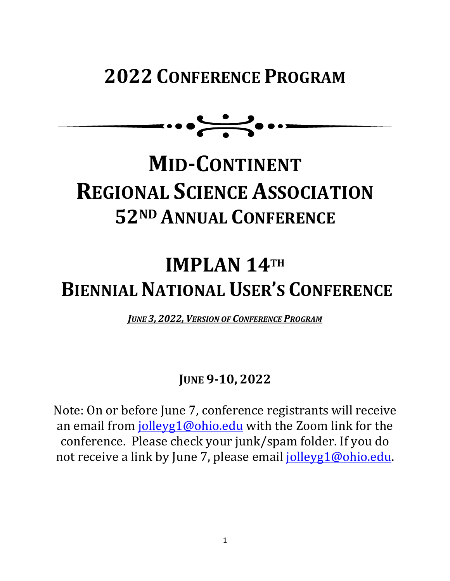# **2022 CONFERENCE PROGRAM**

 $\cdots$ 

# **MID-CONTINENT REGIONAL SCIENCE ASSOCIATION 52ND ANNUAL CONFERENCE**

# **IMPLAN 14TH BIENNIAL NATIONAL USER'S CONFERENCE**

*JUNE 3, 2022, VERSION OF CONFERENCE PROGRAM* 

# **JUNE 9-10, 2022**

Note: On or before June 7, conference registrants will receive an email from *jolleyg1@ohio.edu* with the Zoom link for the conference. Please check your junk/spam folder. If you do not receive a link by June 7, please email jolleyg1@ohio.edu.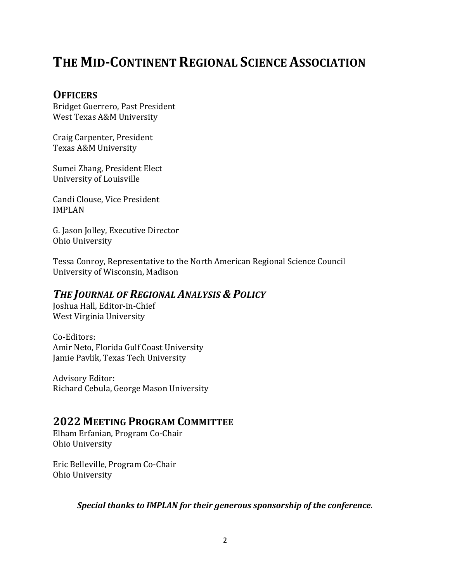# **THE MID-CONTINENT REGIONAL SCIENCE ASSOCIATION**

#### **OFFICERS**

Bridget Guerrero, Past President West Texas A&M University

Craig Carpenter, President Texas A&M University

Sumei Zhang, President Elect University of Louisville

Candi Clouse, Vice President IMPLAN

G. Jason Jolley, Executive Director Ohio University

Tessa Conroy, Representative to the North American Regional Science Council University of Wisconsin, Madison

### **THE JOURNAL OF REGIONAL ANALYSIS & POLICY**

Joshua Hall, Editor-in-Chief West Virginia University

Co-Editors: Amir Neto, Florida Gulf Coast University Jamie Pavlik, Texas Tech University

Advisory Editor: Richard Cebula, George Mason University

#### **2022 MEETING PROGRAM COMMITTEE**

Elham Erfanian, Program Co-Chair Ohio University

Eric Belleville, Program Co-Chair Ohio University

Special thanks to IMPLAN for their generous sponsorship of the conference.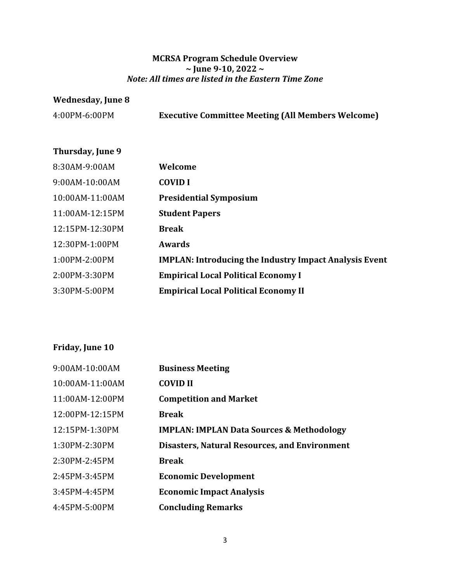#### **MCRSA Program Schedule Overview ~ June 9-10, 2022 ~** *Note: All times are listed in the Eastern Time Zone*

#### **Wednesday, June 8**

4:00PM-6:00PM **Executive Committee Meeting (All Members Welcome)**

#### **Thursday, June 9**

| 8:30AM-9:00AM    | Welcome                                                       |
|------------------|---------------------------------------------------------------|
| $9:00AM-10:00AM$ | <b>COVID I</b>                                                |
| 10:00AM-11:00AM  | <b>Presidential Symposium</b>                                 |
| 11:00AM-12:15PM  | <b>Student Papers</b>                                         |
| 12:15PM-12:30PM  | <b>Break</b>                                                  |
| 12:30PM-1:00PM   | Awards                                                        |
| 1:00PM-2:00PM    | <b>IMPLAN: Introducing the Industry Impact Analysis Event</b> |
| 2:00PM-3:30PM    | <b>Empirical Local Political Economy I</b>                    |
| 3:30PM-5:00PM    | <b>Empirical Local Political Economy II</b>                   |

### Friday, June 10

| 9:00AM-10:00AM  | <b>Business Meeting</b>                              |
|-----------------|------------------------------------------------------|
| 10:00AM-11:00AM | <b>COVID II</b>                                      |
| 11:00AM-12:00PM | <b>Competition and Market</b>                        |
| 12:00PM-12:15PM | <b>Break</b>                                         |
| 12:15PM-1:30PM  | <b>IMPLAN: IMPLAN Data Sources &amp; Methodology</b> |
| 1:30PM-2:30PM   | <b>Disasters, Natural Resources, and Environment</b> |
| 2:30PM-2:45PM   | <b>Break</b>                                         |
| 2:45PM-3:45PM   | <b>Economic Development</b>                          |
| 3:45PM-4:45PM   | <b>Economic Impact Analysis</b>                      |
| 4:45PM-5:00PM   | <b>Concluding Remarks</b>                            |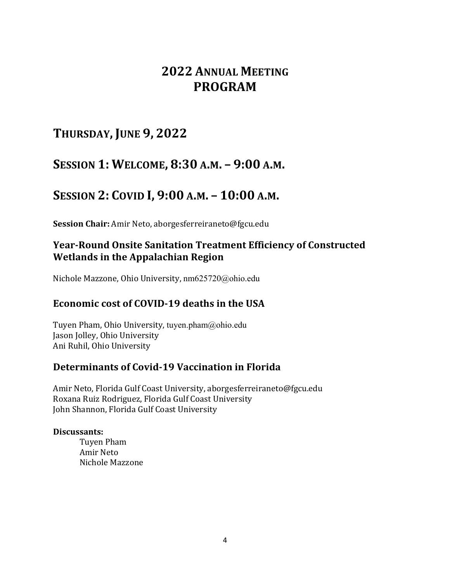### **2022 ANNUAL MEETING PROGRAM**

### **THURSDAY, JUNE 9, 2022**

### **SESSION 1: WELCOME, 8:30 A.M. – 9:00 A.M.**

### **SESSION 2: COVID I, 9:00 A.M. – 10:00 A.M.**

Session Chair: Amir Neto, aborgesferreiraneto@fgcu.edu

#### **Year-Round Onsite Sanitation Treatment Efficiency of Constructed Wetlands in the Appalachian Region**

Nichole Mazzone, Ohio University, nm625720@ohio.edu

#### **Economic cost of COVID-19 deaths in the USA**

Tuyen Pham, Ohio University, tuyen.pham@ohio.edu Jason Jolley, Ohio University Ani Ruhil, Ohio University

#### **Determinants of Covid-19 Vaccination in Florida**

Amir Neto, Florida Gulf Coast University, aborgesferreiraneto@fgcu.edu Roxana Ruiz Rodriguez, Florida Gulf Coast University John Shannon, Florida Gulf Coast University

#### **Discussants:**

Tuyen Pham Amir Neto Nichole Mazzone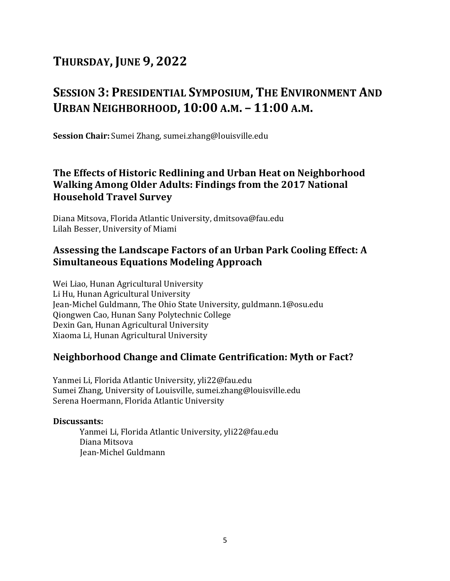# **SESSION 3: PRESIDENTIAL SYMPOSIUM, THE ENVIRONMENT AND URBAN NEIGHBORHOOD, 10:00 A.M. – 11:00 A.M.**

**Session Chair:** Sumei Zhang, sumei.zhang@louisville.edu

#### **The Effects of Historic Redlining and Urban Heat on Neighborhood Walking Among Older Adults: Findings from the 2017 National Household Travel Survey**

Diana Mitsova, Florida Atlantic University, dmitsova@fau.edu Lilah Besser, University of Miami

#### Assessing the Landscape Factors of an Urban Park Cooling Effect: A **Simultaneous Equations Modeling Approach**

Wei Liao, Hunan Agricultural University Li Hu, Hunan Agricultural University Jean-Michel Guldmann, The Ohio State University, guldmann.1@osu.edu Qiongwen Cao, Hunan Sany Polytechnic College Dexin Gan, Hunan Agricultural University Xiaoma Li, Hunan Agricultural University

#### **Neighborhood Change and Climate Gentrification: Myth or Fact?**

Yanmei Li, Florida Atlantic University, yli22@fau.edu Sumei Zhang, University of Louisville, sumei.zhang@louisville.edu Serena Hoermann, Florida Atlantic University

#### **Discussants:**

Yanmei Li, Florida Atlantic University, yli22@fau.edu Diana Mitsova Jean-Michel Guldmann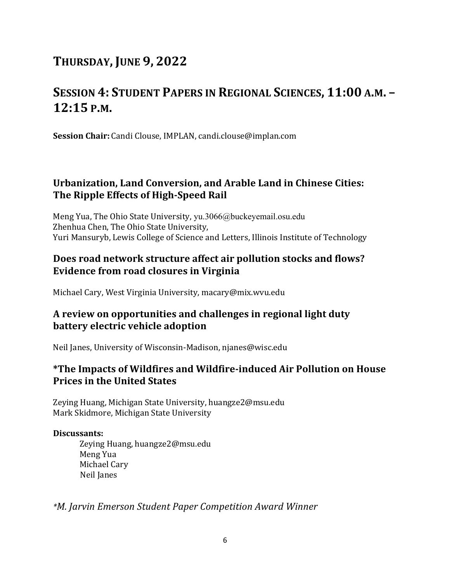# **SESSION 4: STUDENT PAPERS IN REGIONAL SCIENCES, 11:00 A.M. – 12:15 P.M.**

**Session Chair:** Candi Clouse, IMPLAN, candi.clouse@implan.com

#### **Urbanization, Land Conversion, and Arable Land in Chinese Cities: The Ripple Effects of High-Speed Rail**

Meng Yua, The Ohio State University, yu.3066@buckeyemail.osu.edu Zhenhua Chen, The Ohio State University, Yuri Mansuryb, Lewis College of Science and Letters, Illinois Institute of Technology

#### **Does road network structure affect air pollution stocks and flows? Evidence from road closures in Virginia**

Michael Cary, West Virginia University, macary@mix.wvu.edu

#### **A review on opportunities and challenges in regional light duty battery electric vehicle adoption**

Neil Janes, University of Wisconsin-Madison, njanes@wisc.edu

#### \*The Impacts of Wildfires and Wildfire-induced Air Pollution on House **Prices in the United States**

Zeying Huang, Michigan State University, huangze2@msu.edu Mark Skidmore, Michigan State University

#### **Discussants:**

Zeying Huang, huangze2@msu.edu Meng Yua Michael Cary Neil Janes

*\*M. Jarvin Emerson Student Paper Competition Award Winner*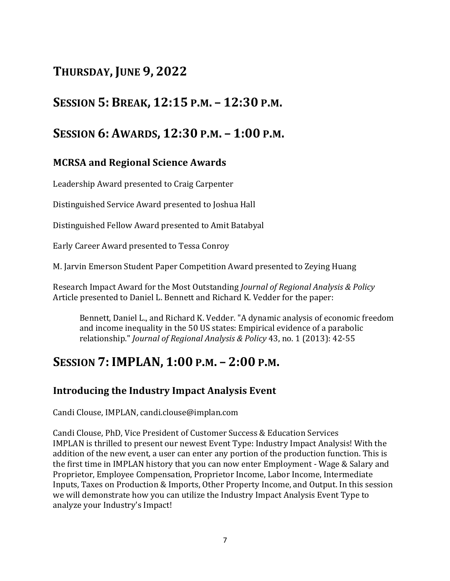### **SESSION 5: BREAK, 12:15 P.M. – 12:30 P.M.**

### **SESSION 6: AWARDS, 12:30 P.M. – 1:00 P.M.**

#### **MCRSA and Regional Science Awards**

Leadership Award presented to Craig Carpenter

Distinguished Service Award presented to Joshua Hall

Distinguished Fellow Award presented to Amit Batabyal

Early Career Award presented to Tessa Conroy

M. Jarvin Emerson Student Paper Competition Award presented to Zeying Huang

Research Impact Award for the Most Outstanding *Journal of Regional Analysis & Policy* Article presented to Daniel L. Bennett and Richard K. Vedder for the paper:

Bennett, Daniel L., and Richard K. Vedder. "A dynamic analysis of economic freedom and income inequality in the 50 US states: Empirical evidence of a parabolic relationship." *Journal of Regional Analysis & Policy* 43, no. 1 (2013): 42-55

### **SESSION 7: IMPLAN, 1:00 P.M. – 2:00 P.M.**

#### **Introducing the Industry Impact Analysis Event**

Candi Clouse, IMPLAN, candi.clouse@implan.com

Candi Clouse, PhD, Vice President of Customer Success & Education Services IMPLAN is thrilled to present our newest Event Type: Industry Impact Analysis! With the addition of the new event, a user can enter any portion of the production function. This is the first time in IMPLAN history that you can now enter Employment - Wage & Salary and Proprietor, Employee Compensation, Proprietor Income, Labor Income, Intermediate Inputs, Taxes on Production & Imports, Other Property Income, and Output. In this session we will demonstrate how you can utilize the Industry Impact Analysis Event Type to analyze your Industry's Impact!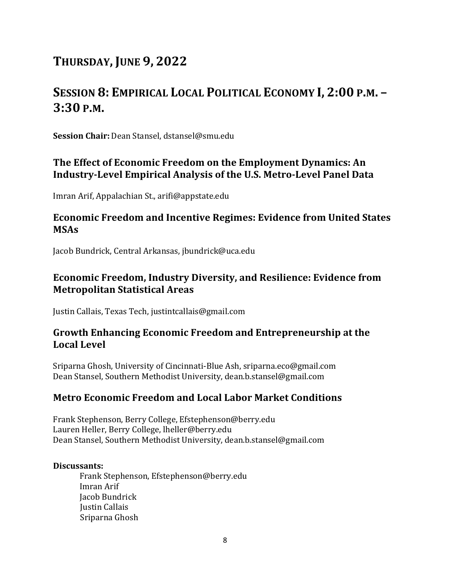# **SESSION 8: EMPIRICAL LOCAL POLITICAL ECONOMY I, 2:00 P.M. – 3:30 P.M.**

**Session Chair:** Dean Stansel, dstansel@smu.edu

#### The Effect of Economic Freedom on the Employment Dynamics: An Industry-Level Empirical Analysis of the U.S. Metro-Level Panel Data

Imran Arif, Appalachian St., arifi@appstate.edu

#### **Economic Freedom and Incentive Regimes: Evidence from United States MSAs**

Jacob Bundrick, Central Arkansas, jbundrick@uca.edu

#### **Economic Freedom, Industry Diversity, and Resilience: Evidence from Metropolitan Statistical Areas**

Justin Callais, Texas Tech, justintcallais@gmail.com

#### Growth Enhancing Economic Freedom and Entrepreneurship at the **Local Level**

Sriparna Ghosh, University of Cincinnati-Blue Ash, sriparna.eco@gmail.com Dean Stansel, Southern Methodist University, dean.b.stansel@gmail.com

#### **Metro Economic Freedom and Local Labor Market Conditions**

Frank Stephenson, Berry College, Efstephenson@berry.edu Lauren Heller, Berry College, lheller@berry.edu Dean Stansel, Southern Methodist University, dean.b.stansel@gmail.com

#### **Discussants:**

Frank Stephenson, Efstephenson@berry.edu Imran Arif Jacob Bundrick Justin Callais Sriparna Ghosh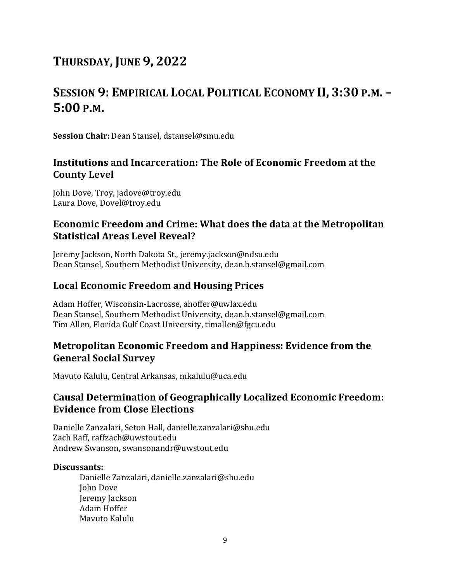# **SESSION 9: EMPIRICAL LOCAL POLITICAL ECONOMY II, 3:30 P.M. – 5:00 P.M.**

**Session Chair:** Dean Stansel, dstansel@smu.edu

#### **Institutions and Incarceration: The Role of Economic Freedom at the County Level**

John Dove, Troy, jadove@troy.edu Laura Dove, Dovel@troy.edu

#### **Economic Freedom and Crime: What does the data at the Metropolitan Statistical Areas Level Reveal?**

Jeremy Jackson, North Dakota St., jeremy.jackson@ndsu.edu Dean Stansel, Southern Methodist University, dean.b.stansel@gmail.com

#### **Local Economic Freedom and Housing Prices**

Adam Hoffer, Wisconsin-Lacrosse, ahoffer@uwlax.edu Dean Stansel, Southern Methodist University, dean.b.stansel@gmail.com Tim Allen, Florida Gulf Coast University, timallen@fgcu.edu

#### **Metropolitan Economic Freedom and Happiness: Evidence from the General Social Survey**

Mavuto Kalulu, Central Arkansas, mkalulu@uca.edu

#### **Causal Determination of Geographically Localized Economic Freedom: Evidence from Close Elections**

Danielle Zanzalari, Seton Hall, danielle.zanzalari@shu.edu Zach Raff, raffzach@uwstout.edu Andrew Swanson, swansonandr@uwstout.edu

#### **Discussants:**

Danielle Zanzalari, danielle.zanzalari@shu.edu **John Dove** Jeremy Jackson Adam Hoffer Mavuto Kalulu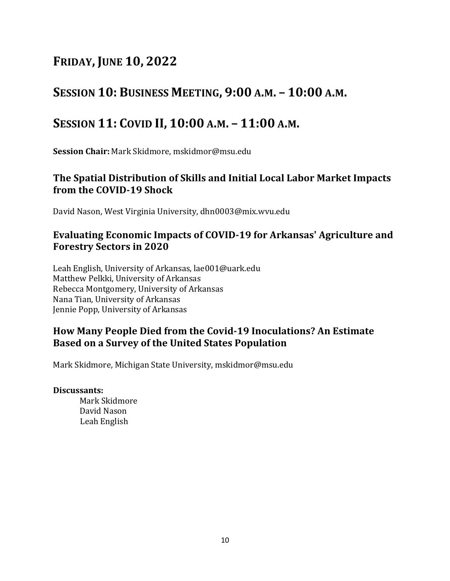### **SESSION 10: BUSINESS MEETING, 9:00 A.M. – 10:00 A.M.**

### **SESSION 11: COVID II, 10:00 A.M. – 11:00 A.M.**

**Session Chair:** Mark Skidmore, mskidmor@msu.edu

#### The Spatial Distribution of Skills and Initial Local Labor Market Impacts **from the COVID-19 Shock**

David Nason, West Virginia University, dhn0003@mix.wvu.edu

#### Evaluating Economic Impacts of COVID-19 for Arkansas' Agriculture and **Forestry Sectors in 2020**

Leah English, University of Arkansas, lae001@uark.edu Matthew Pelkki, University of Arkansas Rebecca Montgomery, University of Arkansas Nana Tian, University of Arkansas Jennie Popp, University of Arkansas

#### **How Many People Died from the Covid-19 Inoculations? An Estimate Based on a Survey of the United States Population**

Mark Skidmore, Michigan State University, mskidmor@msu.edu

#### **Discussants:**

Mark Skidmore David Nason Leah English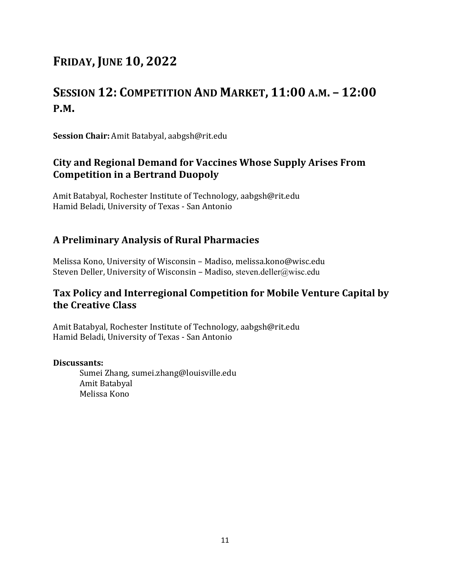# **SESSION 12: COMPETITION AND MARKET, 11:00 A.M. – 12:00 P.M.**

**Session Chair:** Amit Batabyal, aabgsh@rit.edu

#### **City and Regional Demand for Vaccines Whose Supply Arises From Competition in a Bertrand Duopoly**

Amit Batabyal, Rochester Institute of Technology, aabgsh@rit.edu Hamid Beladi, University of Texas - San Antonio

#### **A Preliminary Analysis of Rural Pharmacies**

Melissa Kono, University of Wisconsin - Madiso, melissa.kono@wisc.edu Steven Deller, University of Wisconsin – Madiso, steven.deller@wisc.edu

#### Tax Policy and Interregional Competition for Mobile Venture Capital by **the Creative Class**

Amit Batabyal, Rochester Institute of Technology, aabgsh@rit.edu Hamid Beladi, University of Texas - San Antonio

#### **Discussants:**

Sumei Zhang, sumei.zhang@louisville.edu Amit Batabyal Melissa Kono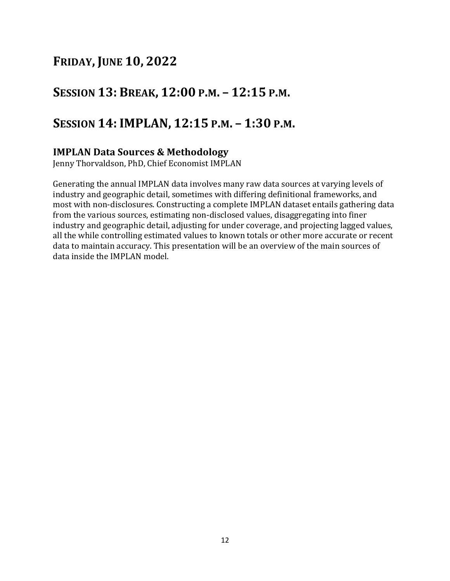### **SESSION 13: BREAK, 12:00 P.M. – 12:15 P.M.**

### **SESSION 14: IMPLAN, 12:15 P.M. – 1:30 P.M.**

#### **IMPLAN Data Sources & Methodology**

Jenny Thorvaldson, PhD, Chief Economist IMPLAN

Generating the annual IMPLAN data involves many raw data sources at varying levels of industry and geographic detail, sometimes with differing definitional frameworks, and most with non-disclosures. Constructing a complete IMPLAN dataset entails gathering data from the various sources, estimating non-disclosed values, disaggregating into finer industry and geographic detail, adjusting for under coverage, and projecting lagged values, all the while controlling estimated values to known totals or other more accurate or recent data to maintain accuracy. This presentation will be an overview of the main sources of data inside the IMPLAN model.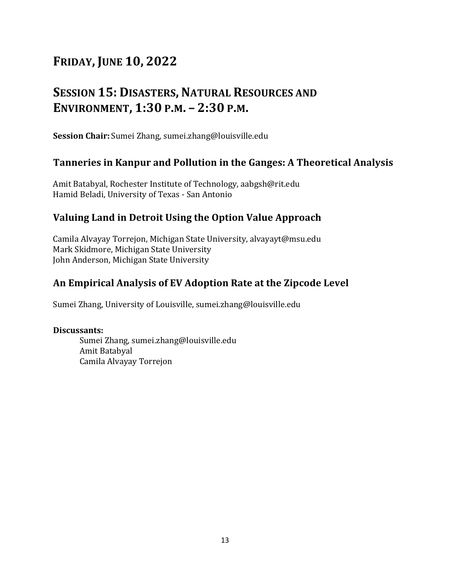# **SESSION 15: DISASTERS, NATURAL RESOURCES AND ENVIRONMENT, 1:30 P.M. – 2:30 P.M.**

**Session Chair:** Sumei Zhang, sumei.zhang@louisville.edu

#### **Tanneries in Kanpur and Pollution in the Ganges: A Theoretical Analysis**

Amit Batabyal, Rochester Institute of Technology, aabgsh@rit.edu Hamid Beladi, University of Texas - San Antonio

#### **Valuing Land in Detroit Using the Option Value Approach**

Camila Alvayay Torrejon, Michigan State University, alvayayt@msu.edu Mark Skidmore, Michigan State University John Anderson, Michigan State University

#### An Empirical Analysis of EV Adoption Rate at the Zipcode Level

Sumei Zhang, University of Louisville, sumei.zhang@louisville.edu

#### **Discussants:**

Sumei Zhang, sumei.zhang@louisville.edu Amit Batabyal Camila Alvayay Torrejon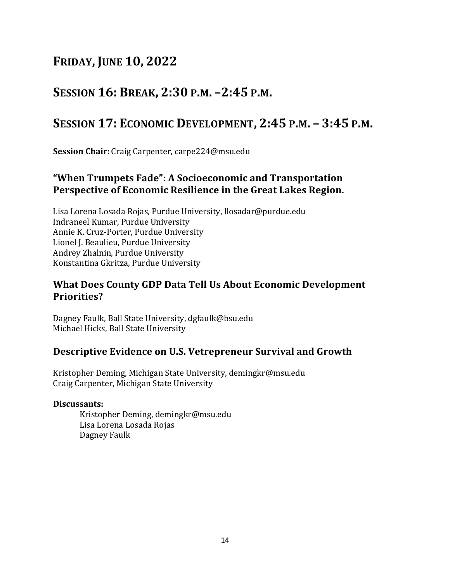### **SESSION 16: BREAK, 2:30 P.M. –2:45 P.M.**

### **SESSION 17: ECONOMIC DEVELOPMENT, 2:45 P.M. – 3:45 P.M.**

**Session Chair:** Craig Carpenter, carpe224@msu.edu

#### **"When Trumpets Fade": A Socioeconomic and Transportation Perspective of Economic Resilience in the Great Lakes Region.**

Lisa Lorena Losada Rojas, Purdue University, llosadar@purdue.edu Indraneel Kumar, Purdue University Annie K. Cruz-Porter, Purdue University Lionel J. Beaulieu, Purdue University Andrey Zhalnin, Purdue University Konstantina Gkritza, Purdue University

#### **What Does County GDP Data Tell Us About Economic Development Priorities?**

Dagney Faulk, Ball State University, dgfaulk@bsu.edu Michael Hicks, Ball State University

#### **Descriptive Evidence on U.S. Vetrepreneur Survival and Growth**

Kristopher Deming, Michigan State University, demingkr@msu.edu Craig Carpenter, Michigan State University

#### **Discussants:**

Kristopher Deming, demingkr@msu.edu Lisa Lorena Losada Rojas Dagney Faulk